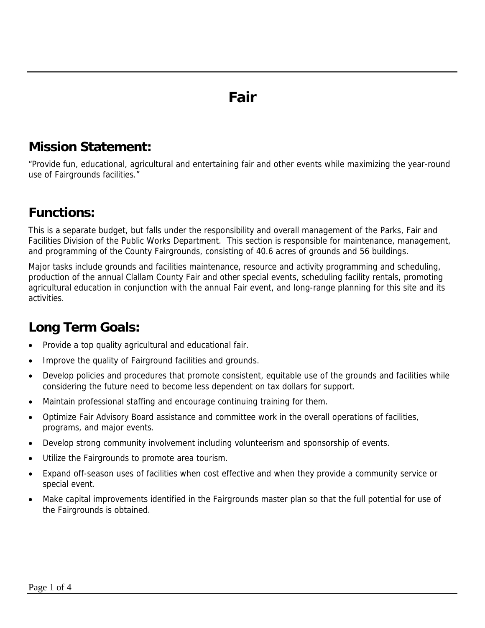## **Fair**

## **Mission Statement:**

"Provide fun, educational, agricultural and entertaining fair and other events while maximizing the year-round use of Fairgrounds facilities."

## **Functions:**

This is a separate budget, but falls under the responsibility and overall management of the Parks, Fair and Facilities Division of the Public Works Department. This section is responsible for maintenance, management, and programming of the County Fairgrounds, consisting of 40.6 acres of grounds and 56 buildings.

Major tasks include grounds and facilities maintenance, resource and activity programming and scheduling, production of the annual Clallam County Fair and other special events, scheduling facility rentals, promoting agricultural education in conjunction with the annual Fair event, and long-range planning for this site and its activities.

## **Long Term Goals:**

- Provide a top quality agricultural and educational fair.
- Improve the quality of Fairground facilities and grounds.
- Develop policies and procedures that promote consistent, equitable use of the grounds and facilities while considering the future need to become less dependent on tax dollars for support.
- Maintain professional staffing and encourage continuing training for them.
- Optimize Fair Advisory Board assistance and committee work in the overall operations of facilities, programs, and major events.
- Develop strong community involvement including volunteerism and sponsorship of events.
- Utilize the Fairgrounds to promote area tourism.
- Expand off-season uses of facilities when cost effective and when they provide a community service or special event.
- Make capital improvements identified in the Fairgrounds master plan so that the full potential for use of the Fairgrounds is obtained.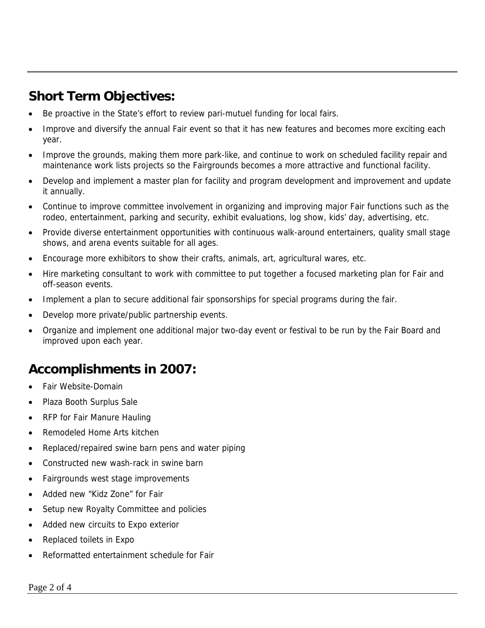## **Short Term Objectives:**

- Be proactive in the State's effort to review pari-mutuel funding for local fairs.
- Improve and diversify the annual Fair event so that it has new features and becomes more exciting each year.
- Improve the grounds, making them more park-like, and continue to work on scheduled facility repair and maintenance work lists projects so the Fairgrounds becomes a more attractive and functional facility.
- Develop and implement a master plan for facility and program development and improvement and update it annually.
- Continue to improve committee involvement in organizing and improving major Fair functions such as the rodeo, entertainment, parking and security, exhibit evaluations, log show, kids' day, advertising, etc.
- Provide diverse entertainment opportunities with continuous walk-around entertainers, quality small stage shows, and arena events suitable for all ages.
- Encourage more exhibitors to show their crafts, animals, art, agricultural wares, etc.
- Hire marketing consultant to work with committee to put together a focused marketing plan for Fair and off-season events.
- Implement a plan to secure additional fair sponsorships for special programs during the fair.
- Develop more private/public partnership events.
- Organize and implement one additional major two-day event or festival to be run by the Fair Board and improved upon each year.

### **Accomplishments in 2007:**

- Fair Website-Domain
- Plaza Booth Surplus Sale
- RFP for Fair Manure Hauling
- Remodeled Home Arts kitchen
- Replaced/repaired swine barn pens and water piping
- Constructed new wash-rack in swine barn
- Fairgrounds west stage improvements
- Added new "Kidz Zone" for Fair
- Setup new Royalty Committee and policies
- Added new circuits to Expo exterior
- Replaced toilets in Expo
- Reformatted entertainment schedule for Fair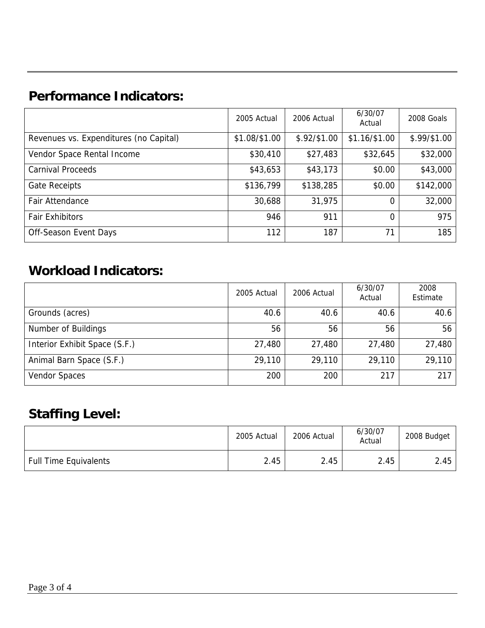## **Performance Indicators:**

|                                        | 2005 Actual   | 2006 Actual  | 6/30/07<br>Actual         | 2008 Goals   |
|----------------------------------------|---------------|--------------|---------------------------|--------------|
| Revenues vs. Expenditures (no Capital) | \$1.08/\$1.00 | \$.92/\$1.00 | $$1.16 \, \frac{1}{1.00}$ | \$.99/\$1.00 |
| Vendor Space Rental Income             | \$30,410      | \$27,483     | \$32,645                  | \$32,000     |
| <b>Carnival Proceeds</b>               | \$43,653      | \$43,173     | \$0.00                    | \$43,000     |
| <b>Gate Receipts</b>                   | \$136,799     | \$138,285    | \$0.00                    | \$142,000    |
| Fair Attendance                        | 30,688        | 31,975       | 0                         | 32,000       |
| <b>Fair Exhibitors</b>                 | 946           | 911          | 0                         | 975          |
| Off-Season Event Days                  | 112           | 187          | 71                        | 185          |

## **Workload Indicators:**

|                               | 2005 Actual | 2006 Actual | 6/30/07<br>Actual | 2008<br>Estimate |
|-------------------------------|-------------|-------------|-------------------|------------------|
| Grounds (acres)               | 40.6        | 40.6        | 40.6              | 40.6             |
| Number of Buildings           | 56          | 56          | 56                | 56               |
| Interior Exhibit Space (S.F.) | 27,480      | 27,480      | 27,480            | 27,480           |
| Animal Barn Space (S.F.)      | 29,110      | 29,110      | 29,110            | 29,110           |
| <b>Vendor Spaces</b>          | 200         | 200         | 217               | 217              |

## **Staffing Level:**

|                              | 2005 Actual | 2006 Actual | 6/30/07<br>Actual | 2008 Budget |
|------------------------------|-------------|-------------|-------------------|-------------|
| <b>Full Time Equivalents</b> | 2.45        | 2.45        | 2.45              | 2.45        |